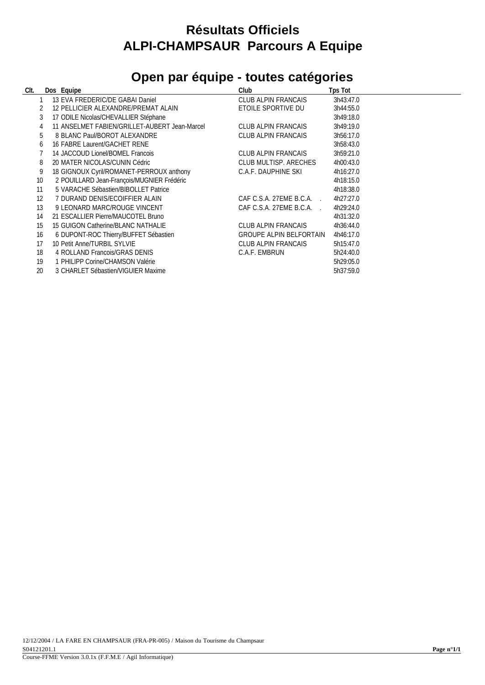## **Résultats Officiels ALPI-CHAMPSAUR Parcours A Equipe**

## **Open par équipe - toutes catégories**

| CIt. | Dos Equipe                                    | Club                           | Tps Tot   |
|------|-----------------------------------------------|--------------------------------|-----------|
|      | 13 EVA FREDERIC/DE GABAI Daniel               | CLUB ALPIN FRANCAIS            | 3h43:47.0 |
|      | 12 PELLICIER ALEXANDRE/PREMAT ALAIN           | ETOILE SPORTIVE DU             | 3h44:55.0 |
| 3    | 17 ODILE Nicolas/CHEVALLIER Stéphane          |                                | 3h49:18.0 |
|      | 11 ANSELMET FABIEN/GRILLET-AUBERT Jean-Marcel | CLUB ALPIN FRANCAIS            | 3h49:19.0 |
| 5    | 8 BLANC Paul/BOROT ALEXANDRE                  | CLUB ALPIN FRANCAIS            | 3h56:17.0 |
| 6    | 16 FABRE Laurent/GACHET RENE                  |                                | 3h58:43.0 |
|      | 14 JACCOUD Lionel/BOMEL Francois              | CLUB ALPIN FRANCAIS            | 3h59:21.0 |
| 8    | 20 MATER NICOLAS/CUNIN Cédric                 | CLUB MULTISP, ARECHES          | 4h00:43.0 |
| 9    | 18 GIGNOUX Cyril/ROMANET-PERROUX anthony      | C.A.F. DAUPHINE SKI            | 4h16:27.0 |
| 10   | 2 POUILLARD Jean-François/MUGNIER Frédéric    |                                | 4h18:15.0 |
| 11   | 5 VARACHE Sébastien/BIBOLLET Patrice          |                                | 4h18:38.0 |
| 12   | 7 DURAND DENIS/ECOIFFIER ALAIN                | CAF C.S.A. 27EME B.C.A.        | 4h27:27.0 |
| 13   | 9 LEONARD MARC/ROUGE VINCENT                  | CAF C.S.A. 27EME B.C.A.        | 4h29:24.0 |
| 14   | 21 ESCALLIER Pierre/MAUCOTEL Bruno            |                                | 4h31:32.0 |
| 15   | 15 GUIGON Catherine/BLANC NATHALIE            | CLUB ALPIN FRANCAIS            | 4h36:44.0 |
| 16   | 6 DUPONT-ROC Thierry/BUFFET Sébastien         | <b>GROUPE ALPIN BELFORTAIN</b> | 4h46:17.0 |
| 17   | 10 Petit Anne/TURBIL SYLVIE                   | CLUB ALPIN FRANCAIS            | 5h15:47.0 |
| 18   | 4 ROLLAND Francois/GRAS DENIS                 | C.A.F. EMBRUN                  | 5h24:40.0 |
| 19   | 1 PHILIPP Corine/CHAMSON Valérie              |                                | 5h29:05.0 |
| 20   | 3 CHARLET Sébastien/VIGUIER Maxime            |                                | 5h37:59.0 |